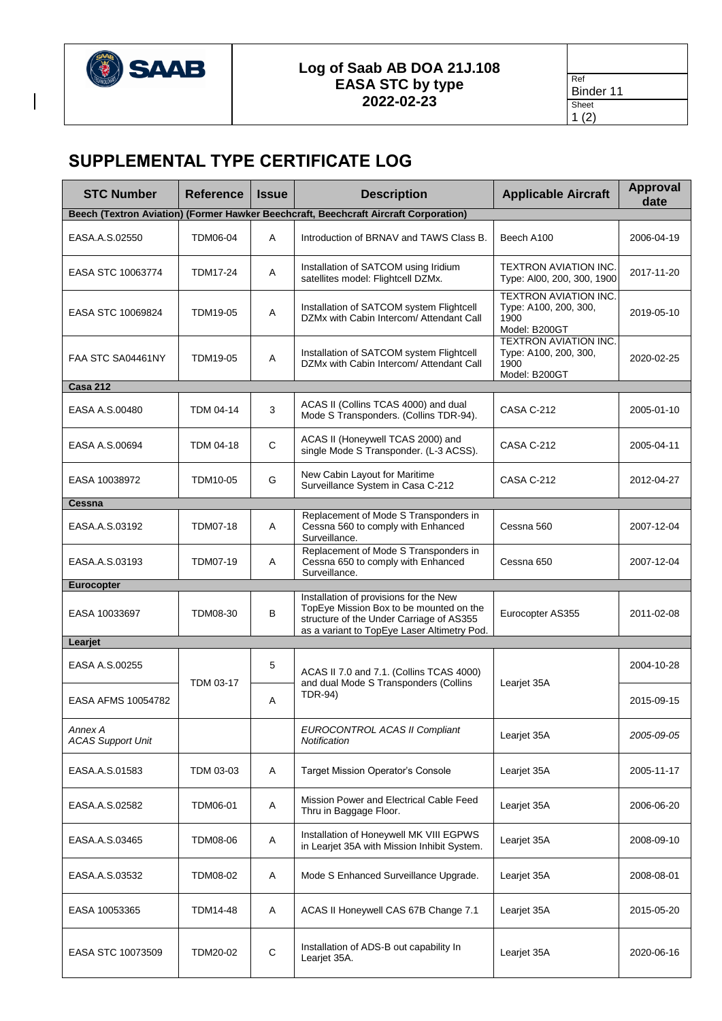

## **Log of Saab AB DOA 21J.108 EASA STC by type 2022-02-23**

| Ref       |
|-----------|
| Binder 11 |
| Sheet     |
| (2)<br>1  |

## **SUPPLEMENTAL TYPE CERTIFICATE LOG**

| <b>STC Number</b>                   | <b>Reference</b>                                                                     | <b>Issue</b> | <b>Description</b>                                                                                                                                                           | <b>Applicable Aircraft</b>                                                     | <b>Approval</b><br>date |  |  |  |  |
|-------------------------------------|--------------------------------------------------------------------------------------|--------------|------------------------------------------------------------------------------------------------------------------------------------------------------------------------------|--------------------------------------------------------------------------------|-------------------------|--|--|--|--|
|                                     | Beech (Textron Aviation) (Former Hawker Beechcraft, Beechcraft Aircraft Corporation) |              |                                                                                                                                                                              |                                                                                |                         |  |  |  |  |
| EASA.A.S.02550                      | <b>TDM06-04</b>                                                                      | A            | Introduction of BRNAV and TAWS Class B.                                                                                                                                      | Beech A100                                                                     | 2006-04-19              |  |  |  |  |
| EASA STC 10063774                   | TDM17-24                                                                             | A            | Installation of SATCOM using Iridium<br>satellites model: Flightcell DZMx.                                                                                                   | TEXTRON AVIATION INC.<br>Type: AI00, 200, 300, 1900                            | 2017-11-20              |  |  |  |  |
| EASA STC 10069824                   | TDM19-05                                                                             | Α            | Installation of SATCOM system Flightcell<br>DZMx with Cabin Intercom/ Attendant Call                                                                                         | <b>TEXTRON AVIATION INC.</b><br>Type: A100, 200, 300,<br>1900<br>Model: B200GT | 2019-05-10              |  |  |  |  |
| FAA STC SA04461NY                   | TDM19-05                                                                             | Α            | Installation of SATCOM system Flightcell<br>DZMx with Cabin Intercom/ Attendant Call                                                                                         | <b>TEXTRON AVIATION INC.</b><br>Type: A100, 200, 300,<br>1900<br>Model: B200GT | 2020-02-25              |  |  |  |  |
| <b>Casa 212</b>                     |                                                                                      |              |                                                                                                                                                                              |                                                                                |                         |  |  |  |  |
| EASA A.S.00480                      | TDM 04-14                                                                            | 3            | ACAS II (Collins TCAS 4000) and dual<br>Mode S Transponders. (Collins TDR-94).                                                                                               | CASA C-212                                                                     | 2005-01-10              |  |  |  |  |
| EASA A.S.00694                      | <b>TDM 04-18</b>                                                                     | C            | ACAS II (Honeywell TCAS 2000) and<br>single Mode S Transponder. (L-3 ACSS).                                                                                                  | <b>CASA C-212</b>                                                              | 2005-04-11              |  |  |  |  |
| EASA 10038972                       | TDM10-05                                                                             | G            | New Cabin Layout for Maritime<br>Surveillance System in Casa C-212                                                                                                           | <b>CASA C-212</b>                                                              | 2012-04-27              |  |  |  |  |
| Cessna                              |                                                                                      |              |                                                                                                                                                                              |                                                                                |                         |  |  |  |  |
| EASA.A.S.03192                      | <b>TDM07-18</b>                                                                      | A            | Replacement of Mode S Transponders in<br>Cessna 560 to comply with Enhanced<br>Surveillance.                                                                                 | Cessna 560                                                                     | 2007-12-04              |  |  |  |  |
| EASA.A.S.03193                      | TDM07-19                                                                             | Α            | Replacement of Mode S Transponders in<br>Cessna 650 to comply with Enhanced<br>Surveillance.                                                                                 | Cessna 650                                                                     | 2007-12-04              |  |  |  |  |
| <b>Eurocopter</b>                   |                                                                                      |              |                                                                                                                                                                              |                                                                                |                         |  |  |  |  |
| EASA 10033697                       | TDM08-30                                                                             | B            | Installation of provisions for the New<br>TopEye Mission Box to be mounted on the<br>structure of the Under Carriage of AS355<br>as a variant to TopEye Laser Altimetry Pod. | Eurocopter AS355                                                               | 2011-02-08              |  |  |  |  |
| Learjet                             |                                                                                      |              |                                                                                                                                                                              |                                                                                |                         |  |  |  |  |
| EASA A.S.00255                      | TDM 03-17                                                                            | 5            | ACAS II 7.0 and 7.1. (Collins TCAS 4000)<br>and dual Mode S Transponders (Collins<br><b>TDR-94)</b><br>Α                                                                     | Learjet 35A                                                                    | 2004-10-28              |  |  |  |  |
| EASA AFMS 10054782                  |                                                                                      |              |                                                                                                                                                                              |                                                                                | 2015-09-15              |  |  |  |  |
| Annex A<br><b>ACAS Support Unit</b> |                                                                                      |              | EUROCONTROL ACAS II Compliant<br>Notification                                                                                                                                | Learjet 35A                                                                    | 2005-09-05              |  |  |  |  |
| EASA.A.S.01583                      | TDM 03-03                                                                            | A            | <b>Target Mission Operator's Console</b>                                                                                                                                     | Learjet 35A                                                                    | 2005-11-17              |  |  |  |  |
| EASA.A.S.02582                      | TDM06-01                                                                             | Α            | Mission Power and Electrical Cable Feed<br>Thru in Baggage Floor.                                                                                                            | Learjet 35A                                                                    | 2006-06-20              |  |  |  |  |
| EASA.A.S.03465                      | TDM08-06                                                                             | Α            | Installation of Honeywell MK VIII EGPWS<br>in Learjet 35A with Mission Inhibit System.                                                                                       | Learjet 35A                                                                    | 2008-09-10              |  |  |  |  |
| EASA.A.S.03532                      | TDM08-02                                                                             | Α            | Mode S Enhanced Surveillance Upgrade.                                                                                                                                        | Learjet 35A                                                                    | 2008-08-01              |  |  |  |  |
| EASA 10053365                       | TDM14-48                                                                             | Α            | ACAS II Honeywell CAS 67B Change 7.1                                                                                                                                         | Learjet 35A                                                                    | 2015-05-20              |  |  |  |  |
| EASA STC 10073509                   | TDM20-02                                                                             | С            | Installation of ADS-B out capability In<br>Learjet 35A.                                                                                                                      | Learjet 35A                                                                    | 2020-06-16              |  |  |  |  |